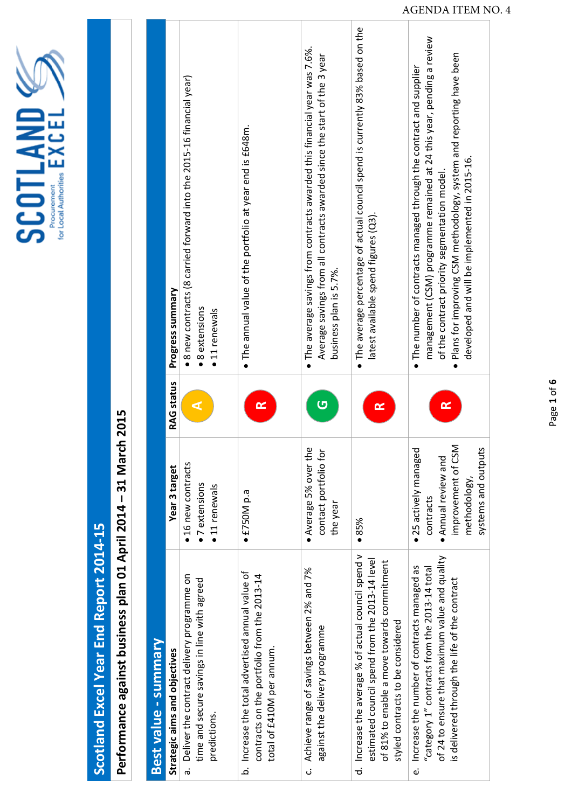SCOTLAND<sup>2</sup>

## Scotland Excel Year End Report 2014-15 **Scotland Excel Year End Report 2014‐15**

## Performance against business plan 01 April 2014 - 31 March 2015 **Performance against business plan 01 April 2014 – 31 March 2015**

| Best value - summary                                                                                                                                                                                  |                                                                                                                        |                   |                                                                                                                                                                                                                                                                                                                        |
|-------------------------------------------------------------------------------------------------------------------------------------------------------------------------------------------------------|------------------------------------------------------------------------------------------------------------------------|-------------------|------------------------------------------------------------------------------------------------------------------------------------------------------------------------------------------------------------------------------------------------------------------------------------------------------------------------|
| Strategic aims and objectives                                                                                                                                                                         | Year 3 target                                                                                                          | <b>RAG</b> status | Progress summary                                                                                                                                                                                                                                                                                                       |
| Deliver the contract delivery programme on<br>time and secure savings in line with agreed<br>predictions.<br>.<br>დ                                                                                   | · 16 new contracts<br>· 7 extensions<br>• 11 renewals                                                                  |                   | $\bullet$ 8 new contracts (8 carried forward into the 2015-16 financial year)<br>$\bullet$ 8 extensions<br>• 11 renewals                                                                                                                                                                                               |
| b. Increase the total advertised annual value of<br>contracts on the portfolio from the 2013-14<br>total of £410M per annum.                                                                          | $\bullet$ £750M p.a                                                                                                    | $\approx$         | $\bullet$ The annual value of the portfolio at year end is £648m.                                                                                                                                                                                                                                                      |
| c. Achieve range of savings between 2% and 7%<br>against the delivery programme                                                                                                                       | • Average 5% over the<br>contact portfolio for<br>the year                                                             | Ū                 | . The average savings from contracts awarded this financial year was 7.6%.<br>Average savings from all contracts awarded since the start of the 3 year<br>business plan is 5.7%.                                                                                                                                       |
| d. Increase the average % of actual council spend v<br>estimated council spend from the 2013-14 level<br>of 81% to enable a move towards commitment<br>styled contracts to be considered              | •85%                                                                                                                   | $\propto$         | . The average percentage of actual council spend is currently 83% based on the<br>latest available spend figures (Q3).                                                                                                                                                                                                 |
| of 24 to ensure that maximum value and quality<br>e. Increase the number of contracts managed as<br>"category $1$ " contracts from the 2013-14 total<br>is delivered through the life of the contract | · 25 actively managed<br>improvement of CSM<br>systems and outputs<br>· Annual review and<br>methodology,<br>contracts | $\alpha$          | management (CSM) programme remained at 24 this year, pending a review<br>· Plans for improving CSM methodology, system and reporting have been<br>. The number of contracts managed through the contract and supplier<br>developed and will be implemented in 2015-16.<br>of the contract priority segmentation model. |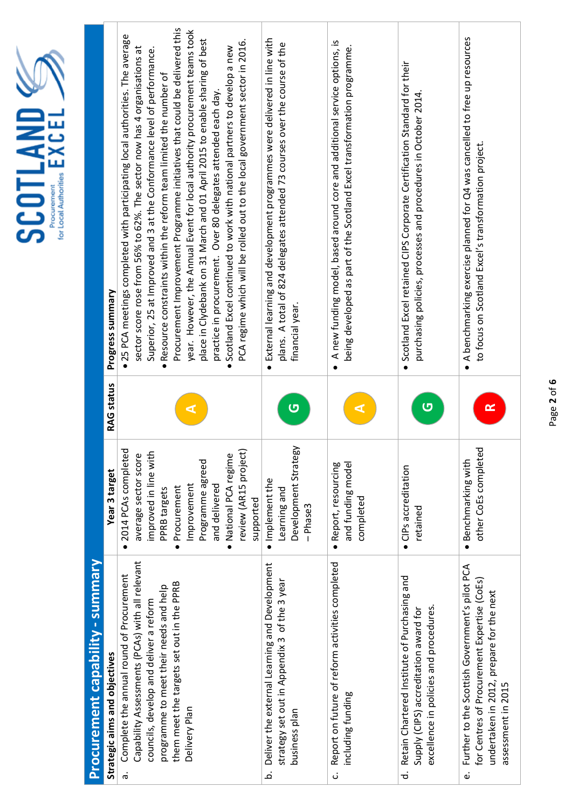| · Implement the<br>Improvement<br>and delivered<br>Procurement<br>PPRB targets<br>Learning and<br>completed<br>supported<br>-Phase3<br>retained<br>$\bullet$ | <b>SCOTLAND</b> | Progress summary<br><b>RAG status</b><br>Year 3 target | Procurement Improvement Programme initiatives that could be delivered this<br>year. However, the Annual Event for local authority procurement teams took<br>. 25 PCA meetings completed with participating local authorities. The average<br>place in Clydebank on 31 March and 01 April 2015 to enable sharing of best<br>PCA regime which will be rolled out to the local government sector in 2016.<br>• Scotland Excel continued to work with national partners to develop a new<br>sector score rose from 56% to 62%. The sector now has 4 organisations at<br>Superior, 25 at Improved and 3 at the Conformance level of performance.<br>. Resource constraints within the reform team limited the number of<br>practice in procurement. Over 80 delegates attended each day<br>2014 PCAs completed<br>review (AR15 project)<br>improved in line with<br>average sector score<br>· National PCA regime<br>Programme agreed | External learning and development programmes were delivered in line with<br>plans. A total of 824 delegates attended 73 courses over the course of the<br>financial year<br>$\bullet$<br>ပ<br>Development Strategy | A new funding model, based around core and additional service options, is<br>being developed as part of the Scotland Excel transformation programme.<br>$\bullet$<br>and funding model<br>Report, resourcing | Scotland Excel retained CIPS Corporate Certification Standard for their<br>purchasing policies, processes and procedures in October 2014.<br>$\bullet$<br>ပာ<br>• CIPs accreditation | . A benchmarking exercise planned for Q4 was cancelled to free up resources<br>to focus on Scotland Excel's transformation project.<br>$\propto$<br>other CoEs completed<br>· Benchmarking with |
|--------------------------------------------------------------------------------------------------------------------------------------------------------------|-----------------|--------------------------------------------------------|----------------------------------------------------------------------------------------------------------------------------------------------------------------------------------------------------------------------------------------------------------------------------------------------------------------------------------------------------------------------------------------------------------------------------------------------------------------------------------------------------------------------------------------------------------------------------------------------------------------------------------------------------------------------------------------------------------------------------------------------------------------------------------------------------------------------------------------------------------------------------------------------------------------------------------|--------------------------------------------------------------------------------------------------------------------------------------------------------------------------------------------------------------------|--------------------------------------------------------------------------------------------------------------------------------------------------------------------------------------------------------------|--------------------------------------------------------------------------------------------------------------------------------------------------------------------------------------|-------------------------------------------------------------------------------------------------------------------------------------------------------------------------------------------------|
|                                                                                                                                                              |                 | Procurement capability - summary                       | Capability Assessments (PCAs) with all relevant<br>Complete the annual round of Procurement<br>them meet the targets set out in the PPRB<br>programme to meet their needs and help<br>councils, develop and deliver a reform                                                                                                                                                                                                                                                                                                                                                                                                                                                                                                                                                                                                                                                                                                     | Deliver the external Learning and Development<br>strategy set out in Appendix 3 of the 3 year                                                                                                                      | Report on future of reform activities completed                                                                                                                                                              | Retain Chartered Institute of Purchasing and<br>excellence in policies and procedures.<br>Supply (CIPS) accreditation award for                                                      | Further to the Scottish Government's pilot PCA<br>for Centres of Procurement Expertise (CoEs)<br>undertaken in 2012, prepare for the next                                                       |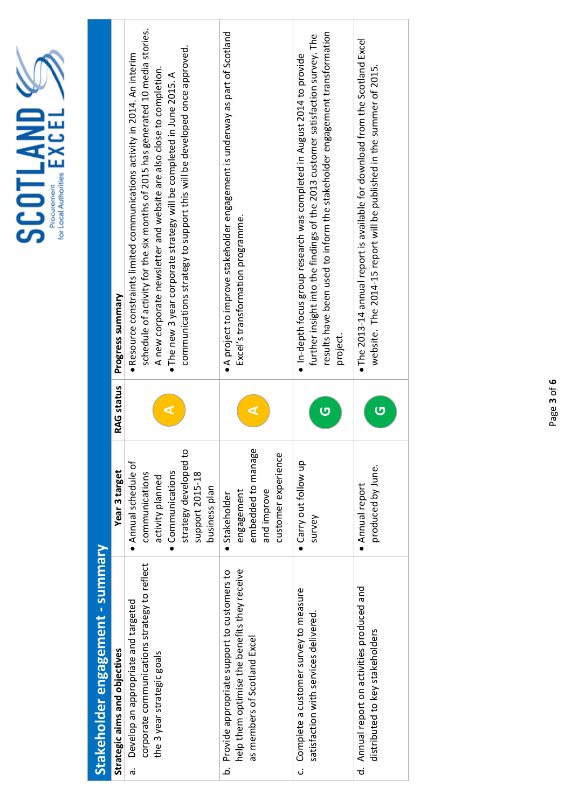| SCOTLAND<br>for Local Authorities<br>Procurement |                                  | Progress summary              | schedule of activity for the six months of 2015 has generated 10 media stories.<br>communications strategy to support this will be developed once approved.<br>· Resource constraints limited communications activity in 2014. An interim<br>A new corporate newsletter and website are also close to completion.<br>. The new 3 year corporate strategy will be completed in June 2015. A | • A project to improve stakeholder engagement is underway as part of Scotland<br>Excel's transformation programme.                    | results have been used to inform the stakeholder engagement transformation<br>further insight into the findings of the 2013 customer satisfaction survey. The<br>· In-depth focus group research was completed in August 2014 to provide<br>project | $\bullet$ The 2013-14 annual report is available for download from the Scotland Excel<br>website. The 2014-15 report will be published in the summer of 2015. |
|--------------------------------------------------|----------------------------------|-------------------------------|--------------------------------------------------------------------------------------------------------------------------------------------------------------------------------------------------------------------------------------------------------------------------------------------------------------------------------------------------------------------------------------------|---------------------------------------------------------------------------------------------------------------------------------------|-----------------------------------------------------------------------------------------------------------------------------------------------------------------------------------------------------------------------------------------------------|---------------------------------------------------------------------------------------------------------------------------------------------------------------|
|                                                  |                                  | <b>RAG status</b>             |                                                                                                                                                                                                                                                                                                                                                                                            |                                                                                                                                       | G                                                                                                                                                                                                                                                   | Ū                                                                                                                                                             |
|                                                  |                                  | Year 3 target                 | strategy developed to<br>· Annual schedule of<br>• Communications<br>communications<br>support 2015-18<br>activity planned<br>business plan                                                                                                                                                                                                                                                | embedded to manage<br>customer experience<br>and improve<br>engagement<br>· Stakeholder                                               | • Carry out follow up<br>survey                                                                                                                                                                                                                     | produced by June.<br>• Annual report                                                                                                                          |
|                                                  | Stakeholder engagement - summary | Strategic aims and objectives | corporate communications strategy to reflect<br>Develop an appropriate and targeted<br>the 3 year strategic goals<br>ä                                                                                                                                                                                                                                                                     | help them optimise the benefits they receive<br>Provide appropriate support to customers to<br>as members of Scotland Excel<br>.<br>ف | c. Complete a customer survey to measure<br>satisfaction with services delivered.                                                                                                                                                                   | Annual report on activities produced and<br>distributed to key stakeholders<br>ಕ                                                                              |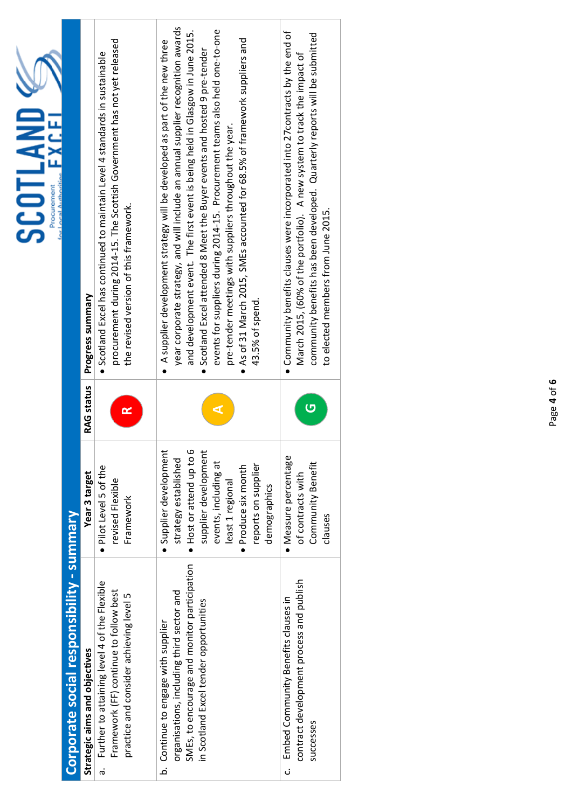| SCOTLAND<br>or Local Authoriti<br><b>Procurement</b> |                                           | Progress summary<br>RAG status | procurement during 2014-15. The Scottish Government has not yet released<br>• Scotland Excel has continued to maintain Level 4 standards in sustainable<br>the revised version of this framework.<br>≃ | year corporate strategy, and will include an annual supplier recognition awards<br>and development event. The first event is being held in Glasgow in June 2015.<br>events for suppliers during 2014-15. Procurement teams also held one-to-one<br>$\bullet$ As of 31 March 2015, SMEs accounted for 68.5% of framework suppliers and<br>A supplier development strategy will be developed as part of the new three<br>Scotland Excel attended 8 Meet the Buyer events and hosted 9 pre-tender<br>pre-tender meetings with suppliers throughout the year.<br>43.5% of spend. | • Community benefits clauses were incorporated into 27 contracts by the end of<br>community benefits has been developed. Quarterly reports will be submitted<br>March 2015, (60% of the portfolio). A new system to track the impact of<br>to elected members from June 2015.<br>G |
|------------------------------------------------------|-------------------------------------------|--------------------------------|--------------------------------------------------------------------------------------------------------------------------------------------------------------------------------------------------------|------------------------------------------------------------------------------------------------------------------------------------------------------------------------------------------------------------------------------------------------------------------------------------------------------------------------------------------------------------------------------------------------------------------------------------------------------------------------------------------------------------------------------------------------------------------------------|------------------------------------------------------------------------------------------------------------------------------------------------------------------------------------------------------------------------------------------------------------------------------------|
|                                                      |                                           | Year 3 target                  | • Pilot Level 5 of the<br>revised Flexible<br>Framework                                                                                                                                                | · Supplier development<br>Host or attend up to 6<br>supplier development<br>strategy established<br>events, including at<br>reports on supplier<br>· Produce six month<br>least 1 regional<br>demographics                                                                                                                                                                                                                                                                                                                                                                   | · Measure percentage<br>Community Benefit<br>of contracts with<br>clauses                                                                                                                                                                                                          |
|                                                      | Corporate social responsibility - summary | Strategic aims and objectives  | Further to attaining level 4 of the Flexible<br>Framework (FF) continue to follow best<br>practice and consider achieving level 5                                                                      | SMEs, to encourage and monitor participation<br>organisations, including third sector and<br>in Scotland Excel tender opportunities<br>b. Continue to engage with supplier                                                                                                                                                                                                                                                                                                                                                                                                   | contract development process and publish<br>Embed Community Benefits clauses in                                                                                                                                                                                                    |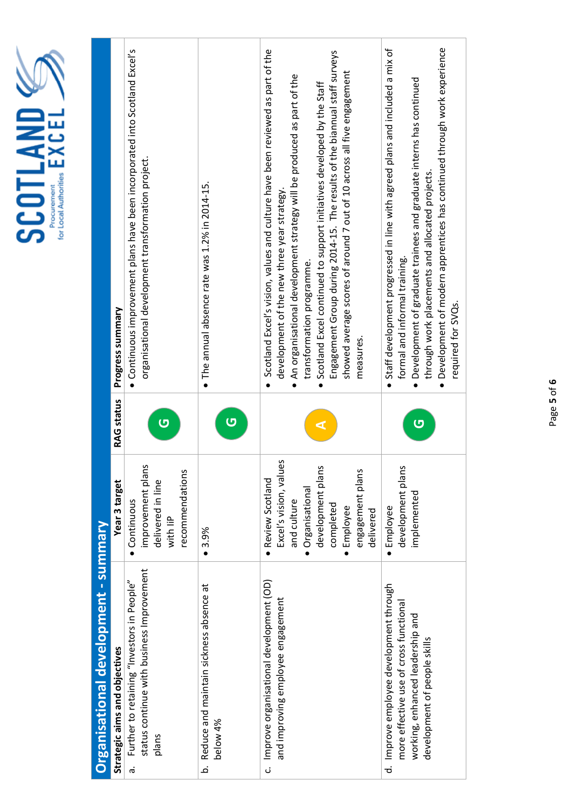|   | í |
|---|---|
|   |   |
| F |   |
|   |   |
|   |   |

|                                      | Progress summary              | • Continuous improvement plans have been incorporated into Scotland Excel's<br>organisational development transformation project. | $\bullet$ The annual absence rate was 1.2% in 2014-15. | Scotland Excel's vision, values and culture have been reviewed as part of the<br>Engagement Group during 2014-15. The results of the biannual staff surveys<br>showed average scores of around 7 out of 10 across all five engagement<br>An organisational development strategy will be produced as part of the<br>• Scotland Excel continued to support initiatives developed by the Staff<br>development of the new three year strategy.<br>transformation programme.<br>measures.<br>$\bullet$ | · Development of modern apprentices has continued through work experience<br>• Staff development progressed in line with agreed plans and included a mix of<br>• Development of graduate trainees and graduate interns has continued<br>through work placements and allocated projects.<br>formal and informal training.<br>required for SVQs. |
|--------------------------------------|-------------------------------|-----------------------------------------------------------------------------------------------------------------------------------|--------------------------------------------------------|---------------------------------------------------------------------------------------------------------------------------------------------------------------------------------------------------------------------------------------------------------------------------------------------------------------------------------------------------------------------------------------------------------------------------------------------------------------------------------------------------|------------------------------------------------------------------------------------------------------------------------------------------------------------------------------------------------------------------------------------------------------------------------------------------------------------------------------------------------|
|                                      | RAG status                    | Ū                                                                                                                                 | $\overline{C}$                                         |                                                                                                                                                                                                                                                                                                                                                                                                                                                                                                   | ပ                                                                                                                                                                                                                                                                                                                                              |
|                                      | Year 3 target                 | improvement plans<br>recommendations<br>delivered in line<br>• Continuous<br>with liP                                             | • 3.9%                                                 | Excel's vision, values<br>development plans<br>engagement plans<br>• Review Scotland<br>· Organisational<br>and culture<br>completed<br>· Employee<br>delivered                                                                                                                                                                                                                                                                                                                                   | development plans<br>implemented<br>· Employee                                                                                                                                                                                                                                                                                                 |
| Organisational development - summary | Strategic aims and objectives | status continue with business Improvement<br>Further to retaining "Investors in People"<br>plans<br>ര്.                           | b. Reduce and maintain sickness absence at<br>below 4% | c. Improve organisational development (OD)<br>and improving employee engagement                                                                                                                                                                                                                                                                                                                                                                                                                   | d. Improve employee development through<br>more effective use of cross functiona<br>working, enhanced leadership and<br>development of people skills                                                                                                                                                                                           |